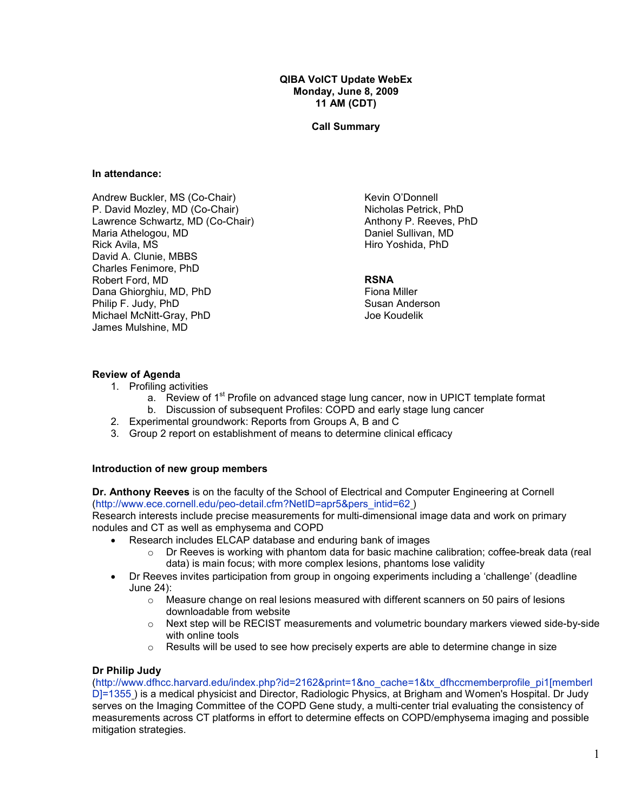#### QIBA VolCT Update WebEx Monday, June 8, 2009 11 AM (CDT)

#### Call Summary

#### In attendance:

Andrew Buckler, MS (Co-Chair) P. David Mozley, MD (Co-Chair) Lawrence Schwartz, MD (Co-Chair) Maria Athelogou, MD Rick Avila, MS David A. Clunie, MBBS Charles Fenimore, PhD Robert Ford, MD Dana Ghiorghiu, MD, PhD Philip F. Judy, PhD Michael McNitt-Gray, PhD James Mulshine, MD

Kevin O'Donnell Nicholas Petrick, PhD Anthony P. Reeves, PhD Daniel Sullivan, MD Hiro Yoshida, PhD

#### **RSNA**

Fiona Miller Susan Anderson Joe Koudelik

### Review of Agenda

- 1. Profiling activities
	- a. Review of 1<sup>st</sup> Profile on advanced stage lung cancer, now in UPICT template format
	- b. Discussion of subsequent Profiles: COPD and early stage lung cancer
- 2. Experimental groundwork: Reports from Groups A, B and C
- 3. Group 2 report on establishment of means to determine clinical efficacy

#### Introduction of new group members

Dr. Anthony Reeves is on the faculty of the School of Electrical and Computer Engineering at Cornell (http://www.ece.cornell.edu/peo-detail.cfm?NetID=apr5&pers\_intid=62 )

Research interests include precise measurements for multi-dimensional image data and work on primary nodules and CT as well as emphysema and COPD

- Research includes ELCAP database and enduring bank of images
	- $\circ$  Dr Reeves is working with phantom data for basic machine calibration; coffee-break data (real data) is main focus; with more complex lesions, phantoms lose validity
- Dr Reeves invites participation from group in ongoing experiments including a 'challenge' (deadline June 24):
	- $\circ$  Measure change on real lesions measured with different scanners on 50 pairs of lesions downloadable from website
	- o Next step will be RECIST measurements and volumetric boundary markers viewed side-by-side with online tools
	- $\circ$  Results will be used to see how precisely experts are able to determine change in size

## Dr Philip Judy

(http://www.dfhcc.harvard.edu/index.php?id=2162&print=1&no\_cache=1&tx\_dfhccmemberprofile\_pi1[memberI D]=1355 ) is a medical physicist and Director, Radiologic Physics, at Brigham and Women's Hospital. Dr Judy serves on the Imaging Committee of the COPD Gene study, a multi-center trial evaluating the consistency of measurements across CT platforms in effort to determine effects on COPD/emphysema imaging and possible mitigation strategies.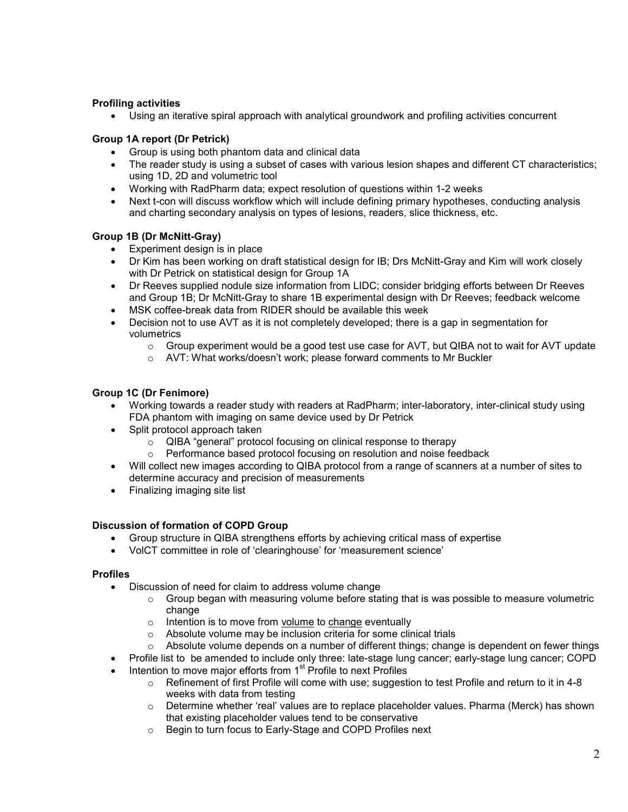## Profiling activities

• Using an iterative spiral approach with analytical groundwork and profiling activities concurrent

# Group 1A report (Dr Petrick)

- Group is using both phantom data and clinical data
- The reader study is using a subset of cases with various lesion shapes and different CT characteristics; using 1D, 2D and volumetric tool
- Working with RadPharm data; expect resolution of questions within 1-2 weeks
- Next t-con will discuss workflow which will include defining primary hypotheses, conducting analysis and charting secondary analysis on types of lesions, readers, slice thickness, etc.

## Group 1B (Dr McNitt-Gray)

- Experiment design is in place
- Dr Kim has been working on draft statistical design for IB; Drs McNitt-Gray and Kim will work closely with Dr Petrick on statistical design for Group 1A
- Dr Reeves supplied nodule size information from LIDC; consider bridging efforts between Dr Reeves and Group 1B; Dr McNitt-Gray to share 1B experimental design with Dr Reeves; feedback welcome
- MSK coffee-break data from RIDER should be available this week
- Decision not to use AVT as it is not completely developed; there is a gap in segmentation for volumetrics
	- $\circ$  Group experiment would be a good test use case for AVT, but QIBA not to wait for AVT update
	- o AVT: What works/doesn't work; please forward comments to Mr Buckler

## Group 1C (Dr Fenimore)

- Working towards a reader study with readers at RadPharm; inter-laboratory, inter-clinical study using FDA phantom with imaging on same device used by Dr Petrick
- Split protocol approach taken
	- o QIBA "general" protocol focusing on clinical response to therapy
	- o Performance based protocol focusing on resolution and noise feedback
- Will collect new images according to QIBA protocol from a range of scanners at a number of sites to determine accuracy and precision of measurements
- Finalizing imaging site list

## Discussion of formation of COPD Group

- Group structure in QIBA strengthens efforts by achieving critical mass of expertise
- VolCT committee in role of 'clearinghouse' for 'measurement science'

## Profiles

- Discussion of need for claim to address volume change
	- $\circ$  Group began with measuring volume before stating that is was possible to measure volumetric change
	- $\circ$  Intention is to move from volume to change eventually
	- o Absolute volume may be inclusion criteria for some clinical trials
	- $\circ$  Absolute volume depends on a number of different things; change is dependent on fewer things
	- Profile list to be amended to include only three: late-stage lung cancer; early-stage lung cancer; COPD
- Intention to move major efforts from 1<sup>st</sup> Profile to next Profiles
	- $\circ$  Refinement of first Profile will come with use; suggestion to test Profile and return to it in 4-8 weeks with data from testing
	- $\circ$  Determine whether 'real' values are to replace placeholder values. Pharma (Merck) has shown that existing placeholder values tend to be conservative
	- o Begin to turn focus to Early-Stage and COPD Profiles next